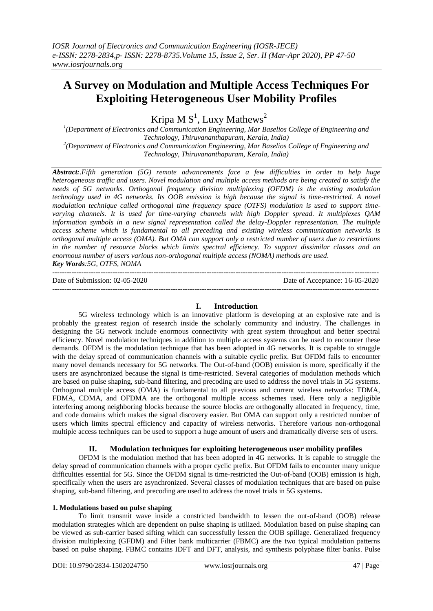# **A Survey on Modulation and Multiple Access Techniques For Exploiting Heterogeneous User Mobility Profiles**

Kripa M  $S<sup>1</sup>$ , Luxy Mathews<sup>2</sup>

<sup>1</sup>(Department of Electronics and Communication Engineering, Mar Baselios College of Engineering and *Technology, Thiruvananthapuram, Kerala, India) 2 (Department of Electronics and Communication Engineering, Mar Baselios College of Engineering and Technology, Thiruvananthapuram, Kerala, India)*

*Abstract:.Fifth generation (5G) remote advancements face a few difficulties in order to help huge heterogeneous traffic and users. Novel modulation and multiple access methods are being created to satisfy the needs of 5G networks. Orthogonal frequency division multiplexing (OFDM) is the existing modulation technology used in 4G networks. Its OOB emission is high because the signal is time-restricted. A novel modulation technique called orthogonal time frequency space (OTFS) modulation is used to support timevarying channels. It is used for time-varying channels with high Doppler spread. It multiplexes QAM information symbols in a new signal representation called the delay-Doppler representation. The multiple access scheme which is fundamental to all preceding and existing wireless communication networks is orthogonal multiple access (OMA). But OMA can support only a restricted number of users due to restrictions in the number of resource blocks which limits spectral efficiency. To support dissimilar classes and an enormous number of users various non-orthogonal multiple access (NOMA) methods are used. Key Words:5G, OTFS, NOMA*

--------------------------------------------------------------------------------------------------------------------------------------- Date of Submission: 02-05-2020 Date of Acceptance: 16-05-2020

## ---------------------------------------------------------------------------------------------------------------------------------------

### **I. Introduction**

5G wireless technology which is an innovative platform is developing at an explosive rate and is probably the greatest region of research inside the scholarly community and industry. The challenges in designing the 5G network include enormous connectivity with great system throughput and better spectral efficiency. Novel modulation techniques in addition to multiple access systems can be used to encounter these demands. OFDM is the modulation technique that has been adopted in 4G networks. It is capable to struggle with the delay spread of communication channels with a suitable cyclic prefix. But OFDM fails to encounter many novel demands necessary for 5G networks. The Out-of-band (OOB) emission is more, specifically if the users are asynchronized because the signal is time-restricted. Several categories of modulation methods which are based on pulse shaping, sub-band filtering, and precoding are used to address the novel trials in 5G systems. Orthogonal multiple access (OMA) is fundamental to all previous and current wireless networks: TDMA, FDMA, CDMA, and OFDMA are the orthogonal multiple access schemes used. Here only a negligible interfering among neighboring blocks because the source blocks are orthogonally allocated in frequency, time, and code domains which makes the signal discovery easier. But OMA can support only a restricted number of users which limits spectral efficiency and capacity of wireless networks. Therefore various non-orthogonal multiple access techniques can be used to support a huge amount of users and dramatically diverse sets of users.

### **II. Modulation techniques for exploiting heterogeneous user mobility profiles**

OFDM is the modulation method that has been adopted in 4G networks. It is capable to struggle the delay spread of communication channels with a proper cyclic prefix. But OFDM fails to encounter many unique difficulties essential for 5G. Since the OFDM signal is time-restricted the Out-of-band (OOB) emission is high, specifically when the users are asynchronized. Several classes of modulation techniques that are based on pulse shaping, sub-band filtering, and precoding are used to address the novel trials in 5G systems**.**

### **1. Modulations based on pulse shaping**

To limit transmit wave inside a constricted bandwidth to lessen the out-of-band (OOB) release modulation strategies which are dependent on pulse shaping is utilized. Modulation based on pulse shaping can be viewed as sub-carrier based sifting which can successfully lessen the OOB spillage. Generalized frequency division multiplexing (GFDM) and Filter bank multicarrier (FBMC) are the two typical modulation patterns based on pulse shaping. FBMC contains IDFT and DFT, analysis, and synthesis polyphase filter banks. Pulse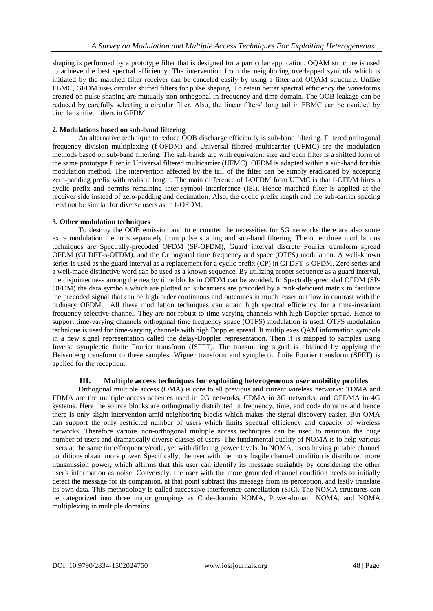shaping is performed by a prototype filter that is designed for a particular application. OQAM structure is used to achieve the best spectral efficiency. The intervention from the neighboring overlapped symbols which is initiated by the matched filter receiver can be canceled easily by using a filter and OQAM structure. Unlike FBMC, GFDM uses circular shifted filters for pulse shaping. To retain better spectral efficiency the waveforms created on pulse shaping are mutually non-orthogonal in frequency and time domain. The OOB leakage can be reduced by carefully selecting a circular filter. Also, the linear filters' long tail in FBMC can be avoided by circular shifted filters in GFDM.

#### **2. Modulations based on sub-band filtering**

An alternative technique to reduce OOB discharge efficiently is sub-band filtering. Filtered orthogonal frequency division multiplexing (f-OFDM) and Universal filtered multicarrier (UFMC) are the modulation methods based on sub-band filtering. The sub-bands are with equivalent size and each filter is a shifted form of the same prototype filter in Universal filtered multicarrier (UFMC). OFDM is adapted within a sub-band for this modulation method. The intervention affected by the tail of the filter can be simply eradicated by accepting zero-padding prefix with realistic length. The main difference of f-OFDM from UFMC is that f-OFDM hires a cyclic prefix and permits remaining inter-symbol interference (ISI). Hence matched filter is applied at the receiver side instead of zero-padding and decimation. Also, the cyclic prefix length and the sub-carrier spacing need not be similar for diverse users as in f-OFDM.

### **3. Other modulation techniques**

To destroy the OOB emission and to encounter the necessities for 5G networks there are also some extra modulation methods separately from pulse shaping and sub-band filtering. The other three modulations techniques are Spectrally-precoded OFDM (SP-OFDM), Guard interval discrete Fourier transform spread OFDM (GI DFT-s-OFDM), and the Orthogonal time frequency and space (OTFS) modulation. A well-known series is used as the guard interval as a replacement for a cyclic prefix (CP) in GI DFT-s-OFDM. Zero series and a well-made distinctive word can be used as a known sequence. By utilizing proper sequence as a guard interval, the disjointedness among the nearby time blocks in OFDM can be avoided. In Spectrally-precoded OFDM (SP-OFDM) the data symbols which are plotted on subcarriers are precoded by a rank-deficient matrix to facilitate the precoded signal that can be high order continuous and outcomes in much lesser outflow in contrast with the ordinary OFDM. All these modulation techniques can attain high spectral efficiency for a time-invariant frequency selective channel. They are not robust to time-varying channels with high Doppler spread. Hence to support time-varying channels orthogonal time frequency space (OTFS) modulation is used. OTFS modulation technique is used for time-varying channels with high Doppler spread. It multiplexes QAM information symbols in a new signal representation called the delay-Doppler representation. Then it is mapped to samples using Inverse symplectic finite Fourier transform (ISFFT). The transmitting signal is obtained by applying the Heisenberg transform to these samples. Wigner transform and symplectic finite Fourier transform (SFFT) is applied for the reception.

### **III. Multiple access techniques for exploiting heterogeneous user mobility profiles**

Orthogonal multiple access (OMA) is core to all previous and current wireless networks: TDMA and FDMA are the multiple access schemes used in 2G networks, CDMA in 3G networks, and OFDMA in 4G systems. Here the source blocks are orthogonally distributed in frequency, time, and code domains and hence there is only slight intervention amid neighboring blocks which makes the signal discovery easier. But OMA can support the only restricted number of users which limits spectral efficiency and capacity of wireless networks. Therefore various non-orthogonal multiple access techniques can be used to maintain the huge number of users and dramatically diverse classes of users. The fundamental quality of NOMA is to help various users at the same time/frequency/code, yet with differing power levels. In NOMA, users having pitiable channel conditions obtain more power. Specifically, the user with the more fragile channel condition is distributed more transmission power, which affirms that this user can identify its message straightly by considering the other user's information as noise. Conversely, the user with the more grounded channel condition needs to initially detect the message for its companion, at that point subtract this message from its perception, and lastly translate its own data. This methodology is called successive interference cancellation (SIC). The NOMA structures can be categorized into three major groupings as Code-domain NOMA, Power-domain NOMA, and NOMA multiplexing in multiple domains.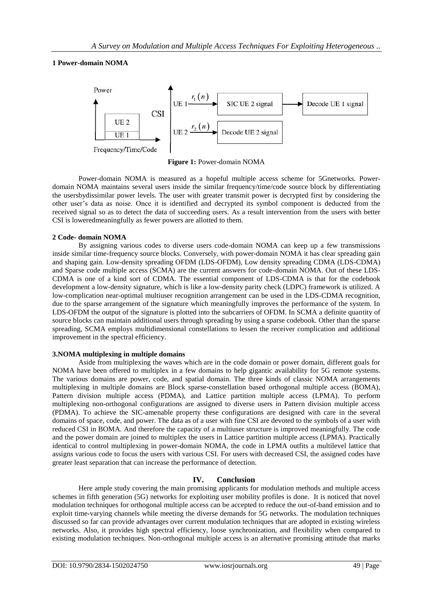#### **1 Power-domain NOMA**



**Figure 1:** Power-domain NOMA

Power-domain NOMA is measured as a hopeful multiple access scheme for 5Gnetworks. Powerdomain NOMA maintains several users inside the similar frequency/time/code source block by differentiating the usersbydissimilar power levels. The user with greater transmit power is decrypted first by considering the other user's data as noise. Once it is identified and decrypted its symbol component is deducted from the received signal so as to detect the data of succeeding users. As a result intervention from the users with better CSI is loweredmeaningfully as fewer powers are allotted to them.

#### **2 Code- domain NOMA**

By assigning various codes to diverse users code-domain NOMA can keep up a few transmissions inside similar time-frequency source blocks. Conversely, with power-domain NOMA it has clear spreading gain and shaping gain. Low-density spreading OFDM (LDS-OFDM), Low density spreading CDMA (LDS-CDMA) and Sparse code multiple access (SCMA) are the current answers for code-domain NOMA. Out of these LDS-CDMA is one of a kind sort of CDMA. The essential component of LDS-CDMA is that for the codebook development a low-density signature, which is like a low-density parity check (LDPC) framework is utilized. A low-complication near-optimal multiuser recognition arrangement can be used in the LDS-CDMA recognition, due to the sparse arrangement of the signature which meaningfully improves the performance of the system. In LDS-OFDM the output of the signature is plotted into the subcarriers of OFDM. In SCMA a definite quantity of source blocks can maintain additional users through spreading by using a sparse codebook. Other than the sparse spreading, SCMA employs multidimensional constellations to lessen the receiver complication and additional improvement in the spectral efficiency.

#### **3.NOMA multiplexing in multiple domains**

Aside from multiplexing the waves which are in the code domain or power domain, different goals for NOMA have been offered to multiplex in a few domains to help gigantic availability for 5G remote systems. The various domains are power, code, and spatial domain. The three kinds of classic NOMA arrangements multiplexing in multiple domains are Block sparse-constellation based orthogonal multiple access (BOMA), Pattern division multiple access (PDMA), and Lattice partition multiple access (LPMA). To perform multiplexing non-orthogonal configurations are assigned to diverse users in Pattern division multiple access (PDMA). To achieve the SIC-amenable property these configurations are designed with care in the several domains of space, code, and power. The data as of a user with fine CSI are devoted to the symbols of a user with reduced CSI in BOMA. And therefore the capacity of a multiuser structure is improved meaningfully. The code and the power domain are joined to multiplex the users in Lattice partition multiple access (LPMA). Practically identical to control multiplexing in power-domain NOMA, the code in LPMA outfits a multilevel lattice that assigns various code to focus the users with various CSI. For users with decreased CSI, the assigned codes have greater least separation that can increase the performance of detection.

### **IV. Conclusion**

Here ample study covering the main promising applicants for modulation methods and multiple access schemes in fifth generation (5G) networks for exploiting user mobility profiles is done. It is noticed that novel modulation techniques for orthogonal multiple access can be accepted to reduce the out-of-band emission and to exploit time-varying channels while meeting the diverse demands for 5G networks. The modulation techniques discussed so far can provide advantages over current modulation techniques that are adopted in existing wireless networks. Also, it provides high spectral efficiency, loose synchronization, and flexibility when compared to existing modulation techniques. Non-orthogonal multiple access is an alternative promising attitude that marks